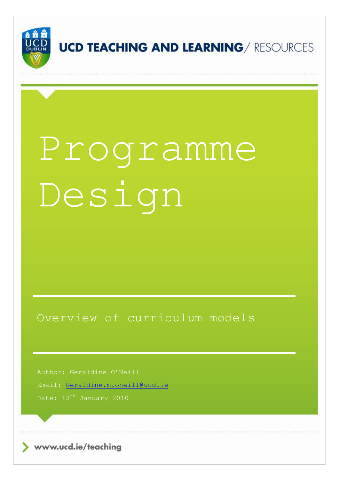

# Programme Design

Overview of curriculum models

Author: Geraldine O'Neill

Email: [Geraldine.m.oneill@ucd.ie](mailto:Geraldine.m.oneill@ucd.ie)

www.ucd.ie/teaching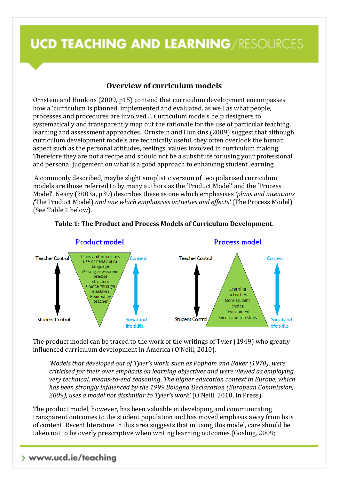### **Overview of curriculum models**

Ornstein and Hunkins (2009, p15) contend that curriculum development encompasses how a 'curriculum is planned, implemented and evaluated, as well as what people, processes and procedures are involved..'. Curriculum models help designers to systematically and transparently map out the rationale for the use of particular teaching, learning and assessment approaches. Ornstein and Hunkins (2009) suggest that although curriculum development models are technically useful, they often overlook the human aspect such as the personal attitudes, feelings, values involved in curriculum making. Therefore they are not a recipe and should not be a substitute for using your professional and personal judgement on what is a good approach to enhancing student learning.

A commonly described, maybe slight simplistic version of two polarised curriculum models are those referred to by many authors as the 'Product Model' and the 'Process Model'. Neary (2003a, p39) describes these as one which emphasises *'plans and intentions (*The Product Model) *and one which emphasises activities and effects'* (The Process Model) (See Table 1 below).



#### **Table 1: The Product and Process Models of Curriculum Development.**

The product model can be traced to the work of the writings of Tyler (1949) who greatly influenced curriculum development in America (O'Neill, 2010).

*'Models that developed out of Tyler's work, such as Popham and Baker (1970), were criticised for their over emphasis on learning objectives and were viewed as employing very technical, means-to-end reasoning. The higher education context in Europe, which has been strongly influenced by the 1999 Bologna Declaration (European Commission, 2009), uses a model not dissimilar to Tyler's work'* (O'Neill, 2010, In Press).

The product model, however, has been valuable in developing and communicating transparent outcomes to the student population and has moved emphasis away from lists of content. Recent literature in this area suggests that in using this model, care should be taken not to be overly prescriptive when writing learning outcomes (Gosling, 2009;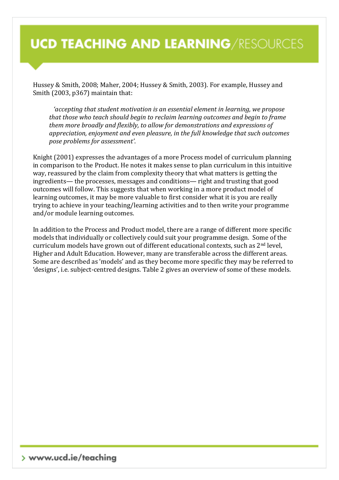Hussey & Smith, 2008; Maher, 2004; Hussey & Smith, 2003). For example, Hussey and Smith (2003, p367) maintain that:

*'accepting that student motivation is an essential element in learning, we propose that those who teach should begin to reclaim learning outcomes and begin to frame them more broadly and flexibly, to allow for demonstrations and expressions of appreciation, enjoyment and even pleasure, in the full knowledge that such outcomes pose problems for assessment'*.

Knight (2001) expresses the advantages of a more Process model of curriculum planning in comparison to the Product. He notes it makes sense to plan curriculum in this intuitive way, reassured by the claim from complexity theory that what matters is getting the ingredients— the processes, messages and conditions— right and trusting that good outcomes will follow. This suggests that when working in a more product model of learning outcomes, it may be more valuable to first consider what it is you are really trying to achieve in your teaching/learning activities and to then write your programme and/or module learning outcomes.

In addition to the Process and Product model, there are a range of different more specific models that individually or collectively could suit your programme design. Some of the curriculum models have grown out of different educational contexts, such as 2nd level, Higher and Adult Education. However, many are transferable across the different areas. Some are described as 'models' and as they become more specific they may be referred to 'designs', i.e. subject-centred designs. Table 2 gives an overview of some of these models.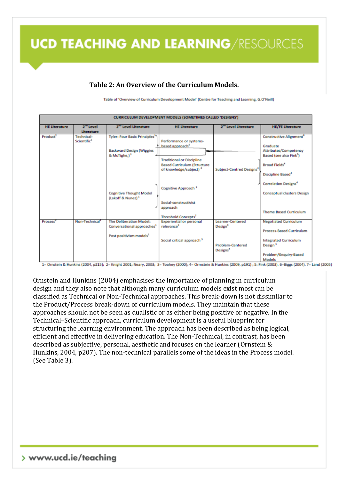#### **Table 2: An Overview of the Curriculum Models.**

Table of 'Overview of Curriculum Development Model' (Centre for Teaching and Learning, G.O'Neill)

| <b>CURRICULUM DEVELOPMENT MODELS (SOMETIMES CALLED 'DESIGNS')</b> |                                              |                                                                                    |                                                                          |                                                 |                                                                                 |  |
|-------------------------------------------------------------------|----------------------------------------------|------------------------------------------------------------------------------------|--------------------------------------------------------------------------|-------------------------------------------------|---------------------------------------------------------------------------------|--|
| <b>HE Literature</b>                                              | $2^{\text{no}}$ Level                        | 2 <sup>nd</sup> Level Literature                                                   | <b>HE Literature</b>                                                     | 2 <sup>nd</sup> Level Literature                | <b>HE/FE Literature</b>                                                         |  |
|                                                                   | Literature                                   |                                                                                    |                                                                          |                                                 |                                                                                 |  |
| Product <sup>2</sup>                                              | <b>Technical-</b><br>Scientific <sup>1</sup> | <b>Tyler: Four Basic Principles<sup>3</sup></b><br><b>Backward Design (Wiggins</b> | Performance or systems-<br>based approach <sup>3</sup>                   |                                                 | <b>Constructive Alignment</b> <sup>®</sup><br>Graduate<br>Attributes/Competency |  |
|                                                                   |                                              | & McTighe,) <sup>1</sup>                                                           | <b>Traditional or Discipline</b>                                         |                                                 | Based (see also Fink <sup>3</sup> )                                             |  |
|                                                                   |                                              |                                                                                    | <b>Based Curriculum (Structure</b><br>of knowledge/subject) <sup>2</sup> | <b>Subject-Centred Designs<sup>4</sup></b>      | Broad Fields <sup>4</sup><br>Discipline Based <sup>®</sup>                      |  |
|                                                                   |                                              |                                                                                    | Cognitive Approach <sup>3</sup>                                          |                                                 | <b>Correlation Designs<sup>4</sup></b>                                          |  |
|                                                                   |                                              | <b>Cognitive Thought Model</b><br>(Lakoff & Nunez) <sup>1</sup>                    | Social-constructivist                                                    |                                                 | <b>Conceptual clusters Design</b>                                               |  |
|                                                                   |                                              |                                                                                    | approach<br>Threshold Concepts <sup>7</sup>                              |                                                 | <b>Theme Based Curriculum</b>                                                   |  |
| Process <sup>4</sup>                                              | Non-Technical <sup>1</sup>                   | <b>The Deliberation Model:</b><br>Conversational approaches <sup>3</sup>           | <b>Experiential or personal</b><br>relevance <sup>3</sup>                | <b>Learner-Centered</b><br>Design <sup>4</sup>  | <b>Negotiated Curriculum</b>                                                    |  |
|                                                                   |                                              | Post positivism models <sup>1</sup>                                                |                                                                          |                                                 | <b>Process-Based Curriculum</b>                                                 |  |
|                                                                   |                                              |                                                                                    | Social critical approach <sup>3</sup>                                    | <b>Problem-Centered</b><br>Designs <sup>4</sup> | <b>Integrated Curriculum</b><br>Design <sup>5</sup>                             |  |
|                                                                   |                                              |                                                                                    |                                                                          |                                                 | Problem/Enquiry-Based<br>Models                                                 |  |

1= Ornstein & Hunkins (2004, p215); 2= Knight 2001; Neary, 2003; 3= Toohey (2000); 4= Ormstein & Hunkins (2009, p191); 5: Fink (2003). 6=Biggs (2004). 7= Land (2005)

Ornstein and Hunkins (2004) emphasises the importance of planning in curriculum design and they also note that although many curriculum models exist most can be classified as Technical or Non-Technical approaches. This break-down is not dissimilar to the Product/Process break-down of curriculum models. They maintain that these approaches should not be seen as dualistic or as either being positive or negative. In the Technical–Scientific approach, curriculum development is a useful blueprint for structuring the learning environment. The approach has been described as being logical, efficient and effective in delivering education. The Non-Technical, in contrast, has been described as subjective, personal, aesthetic and focuses on the learner (Ornstein & Hunkins, 2004, p207). The non-technical parallels some of the ideas in the Process model. (See Table 3).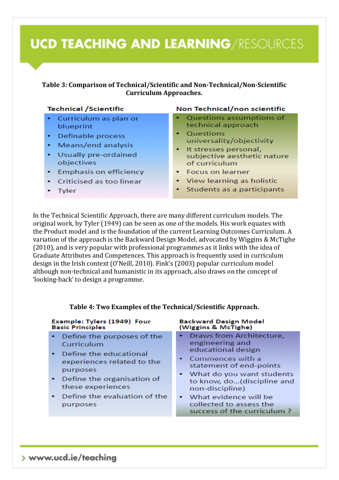#### **Table 3: Comparison of Technical/Scientific and Non-Technical/Non-Scientific Curriculum Approaches.**

#### **Technical /Scientific**

- Curriculum as plan or blueprint
- Definable process
- Means/end analysis
- Usually pre-ordained objectives
- **Emphasis on efficiency**
- Criticised as too linear
- Tyler

#### Non Technical/non scientific

- Questions assumptions of technical approach
- Questions universality/objectivity
- It stresses personal. subjective aesthetic nature of curriculum
- **Focus on learner**
- View learning as holistic
- Students as a participants

success of the curriculum?

In the Technical Scientific Approach, there are many different curriculum models. The original work, by Tyler (1949) can be seen as one of the models. His work equates with the Product model and is the foundation of the current Learning Outcomes Curriculum. A variation of the approach is the Backward Design Model, advocated by Wiggins & McTighe (2010), and is very popular with professional programmes as it links with the idea of Graduate Attributes and Competences. This approach is frequently used in curriculum design in the Irish context (O'Neill, 2010). Fink's (2003) popular curriculum model although non-technical and humanistic in its approach, also draws on the concept of 'looking-back' to design a programme.

| Example: Tylers (1949) Four<br><b>Basic Principles</b>                                                                                                                                                  | <b>Backward Design Model</b><br>(Wiggins & McTighe)                                                                                                                                                                           |  |
|---------------------------------------------------------------------------------------------------------------------------------------------------------------------------------------------------------|-------------------------------------------------------------------------------------------------------------------------------------------------------------------------------------------------------------------------------|--|
| • Define the purposes of the<br>Curriculum<br>• Define the educational<br>experiences related to the<br>purposes<br>• Define the organisation of<br>these experiences<br>• Define the evaluation of the | Draws from Architecture,<br>engineering and<br>educational design<br>• Commences with a<br>statement of end-points<br>• What do you want students<br>to know, do(discipline and<br>non-discipline)<br>• What evidence will be |  |
| purposes                                                                                                                                                                                                | collected to assess the                                                                                                                                                                                                       |  |

#### **Table 4: Two Examples of the Technical/Scientific Approach.**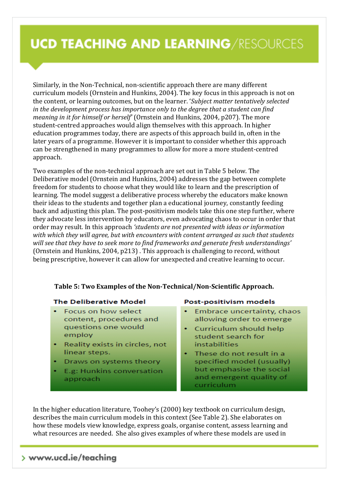Similarly, in the Non-Technical, non-scientific approach there are many different curriculum models (Ornstein and Hunkins, 2004). The key focus in this approach is not on the content, or learning outcomes, but on the learner. '*Subject matter tentatively selected in the development process has importance only to the degree that a student can find meaning in it for himself or herself'* (Ornstein and Hunkins, 2004, p207). The more student-centred approaches would align themselves with this approach. In higher education programmes today, there are aspects of this approach build in, often in the later years of a programme. However it is important to consider whether this approach can be strengthened in many programmes to allow for more a more student-centred approach.

Two examples of the non-technical approach are set out in Table 5 below. The Deliberative model (Ornstein and Hunkins, 2004) addresses the gap between complete freedom for students to choose what they would like to learn and the prescription of learning. The model suggest a deliberative process whereby the educators make known their ideas to the students and together plan a educational journey, constantly feeding back and adjusting this plan. The post-positivism models take this one step further, where they advocate less intervention by educators, even advocating chaos to occur in order that order may result. In this approach *'students are not presented with ideas or information with which they will agree, but with encounters with content arranged as such that students will see that they have to seek more to find frameworks and generate fresh understandings'* (Ornstein and Hunkins, 2004, p213) . This approach is challenging to record, without being prescriptive, however it can allow for unexpected and creative learning to occur.

#### **Table 5: Two Examples of the Non-Technical/Non-Scientific Approach.**

#### **The Deliberative Model**

- Focus on how select content, procedures and questions one would employ
- Reality exists in circles, not linear steps.
- Draws on systems theory
- E.g: Hunkins conversation approach

#### Post-positivism models

- Embrace uncertainty, chaos allowing order to emerge
- Curriculum should help student search for instabilities
- These do not result in a specified model (usually) but emphasise the social and emergent quality of curriculum

In the higher education literature, Toohey's (2000) key textbook on curriculum design, describes the main curriculum models in this context (See Table 2). She elaborates on how these models view knowledge, express goals, organise content, assess learning and what resources are needed. She also gives examples of where these models are used in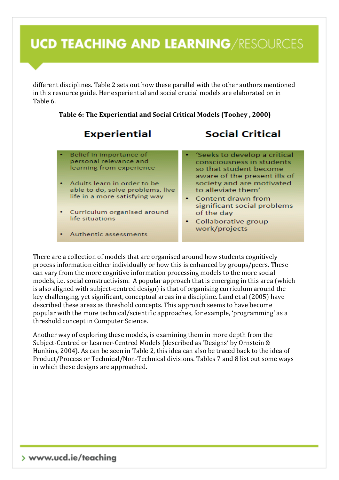different disciplines. Table 2 sets out how these parallel with the other authors mentioned in this resource guide. Her experiential and social crucial models are elaborated on in Table 6.

#### **Table 6: The Experiential and Social Critical Models (Toohey , 2000)**

### **Experiential**

### **Social Critical**

Belief in importance of personal relevance and learning from experience

- Adults learn in order to be able to do, solve problems, live life in a more satisfying way
- Curriculum organised around life situations
- Authentic assessments

'Seeks to develop a critical consciousness in students so that student become aware of the present ills of society and are motivated to alleviate them'

- Content drawn from significant social problems of the day
- Collaborative group work/projects

There are a collection of models that are organised around how students cognitively process information either individually or how this is enhanced by groups/peers. These can vary from the more cognitive information processing models to the more social models, i.e. social constructivism. A popular approach that is emerging in this area (which is also aligned with subject-centred design) is that of organising curriculum around the key challenging, yet significant, conceptual areas in a discipline. Land et al (2005) have described these areas as threshold concepts. This approach seems to have become popular with the more technical/scientific approaches, for example, 'programming' as a threshold concept in Computer Science.

Another way of exploring these models, is examining them in more depth from the Subject-Centred or Learner-Centred Models (described as 'Designs' by Ornstein & Hunkins, 2004). As can be seen in Table 2, this idea can also be traced back to the idea of Product/Process or Technical/Non-Technical divisions. Tables 7 and 8 list out some ways in which these designs are approached.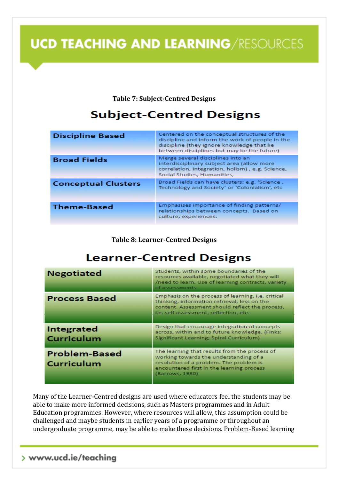**Table 7: Subject-Centred Designs**

### **Subject-Centred Designs**

| <b>Discipline Based</b>    | Centered on the conceptual structures of the<br>discipline and inform the work of people in the<br>discipline (they ignore knowledge that lie<br>between disciplines but may be the future) |
|----------------------------|---------------------------------------------------------------------------------------------------------------------------------------------------------------------------------------------|
| <b>Broad Fields</b>        | Merge several disciplines into an<br>interdisciplinary subject area (allow more<br>correlation, integration, holism), e.g. Science,<br>Social Studies, Humanities,                          |
| <b>Conceptual Clusters</b> | Broad Fields can have clusters: e.g. 'Science,<br>Technology and Society' or 'Colonialism', etc.                                                                                            |
| <b>Theme-Based</b>         | Emphasises importance of finding patterns/<br>relationships between concepts. Based on<br>culture, experiences.                                                                             |

#### **Table 8: Learner-Centred Designs**

### **Learner-Centred Designs**

| <b>Negotiated</b>                  | Students, within some boundaries of the<br>resources available, negotiated what they will<br>/need to learn. Use of learning contracts, variety<br>of assessments                                  |
|------------------------------------|----------------------------------------------------------------------------------------------------------------------------------------------------------------------------------------------------|
| <b>Process Based</b>               | Emphasis on the process of learning, i.e. critical<br>thinking, information retrieval, less on the<br>content. Assessment should reflect the process,<br>i.e. self assessment, reflection, etc.    |
| Integrated<br><b>Curriculum</b>    | Design that encourage integration of concepts<br>across, within and to future knowledge. (Finks:<br>Significant Learning; Spiral Curriculum)                                                       |
| <b>Problem-Based</b><br>Curriculum | The learning that results from the process of<br>working towards the understanding of a<br>resolution of a problem. The problem is<br>encountered first in the learning process<br>(Barrows, 1980) |

Many of the Learner-Centred designs are used where educators feel the students may be able to make more informed decisions, such as Masters programmes and in Adult Education programmes. However, where resources will allow, this assumption could be challenged and maybe students in earlier years of a programme or throughout an undergraduate programme, may be able to make these decisions. Problem-Based learning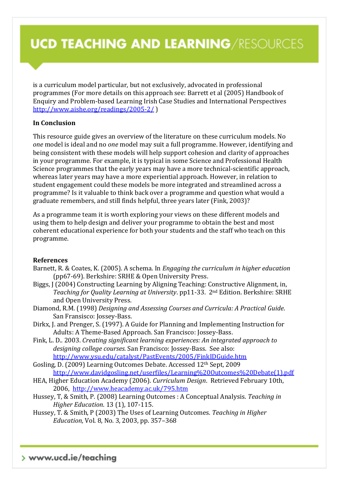is a curriculum model particular, but not exclusively, advocated in professional programmes (For more details on this approach see: Barrett et al (2005) Handbook of Enquiry and Problem-based Learning Irish Case Studies and International Perspectives <http://www.aishe.org/readings/2005-2/> )

#### **In Conclusion**

This resource guide gives an overview of the literature on these curriculum models. No *one* model is ideal and no *one* model may suit a full programme. However, identifying and being consistent with these models will help support cohesion and clarity of approaches in your programme. For example, it is typical in some Science and Professional Health Science programmes that the early years may have a more technical-scientific approach, whereas later years may have a more experiential approach. However, in relation to student engagement could these models be more integrated and streamlined across a programme? Is it valuable to think back over a programme and question what would a graduate remembers, and still finds helpful, three years later (Fink, 2003)?

As a programme team it is worth exploring your views on these different models and using them to help design and deliver your programme to obtain the best and most coherent educational experience for both your students and the staff who teach on this programme.

#### **References**

- Barnett, R. & Coates, K. (2005). A schema. In *Engaging the curriculum in higher education* (pp67-69). Berkshire: SRHE & Open University Press.
- Biggs, J (2004) Constructing Learning by Aligning Teaching: Constructive Alignment, in, *Teaching for Quality Learning at University*. pp11-33. 2nd Edition. Berkshire: SRHE and Open University Press.
- Diamond, R.M. (1998) *Designing and Assessing Courses and Curricula: A Practical Guide*. San Fransisco: Jossey-Bass.
- Dirkx, J. and Prenger, S. (1997). A Guide for Planning and Implementing Instruction for Adults: A Theme-Based Approach. San Francisco: Jossey-Bass.
- Fink, L. D.. 2003. *Creating significant learning experiences: An integrated approach to designing college courses.* San Francisco: Jossey-Bass. See also: <http://www.ysu.edu/catalyst/PastEvents/2005/FinkIDGuide.htm>

Gosling, D. (2009) Learning Outcomes Debate. Accessed 12th Sept, 2009 [http://www.davidgosling.net/userfiles/Learning%20Outcomes%20Debate\(1\).pdf](http://www.davidgosling.net/userfiles/Learning%20Outcomes%20Debate(1).pdf)

- HEA, Higher Education Academy (2006). *Curriculum Design*. Retrieved February 10th, 2006, <http://www.heacademy.ac.uk/795.htm>
- Hussey, T, & Smith, P. (2008) Learning Outcomes : A Conceptual Analysis. *Teaching in Higher Education*. 13 (1), 107-115.
- Hussey, T. & Smith, P (2003) The Uses of Learning Outcomes. *Teaching in Higher Education,* Vol. 8, No. 3, 2003, pp. 357–368